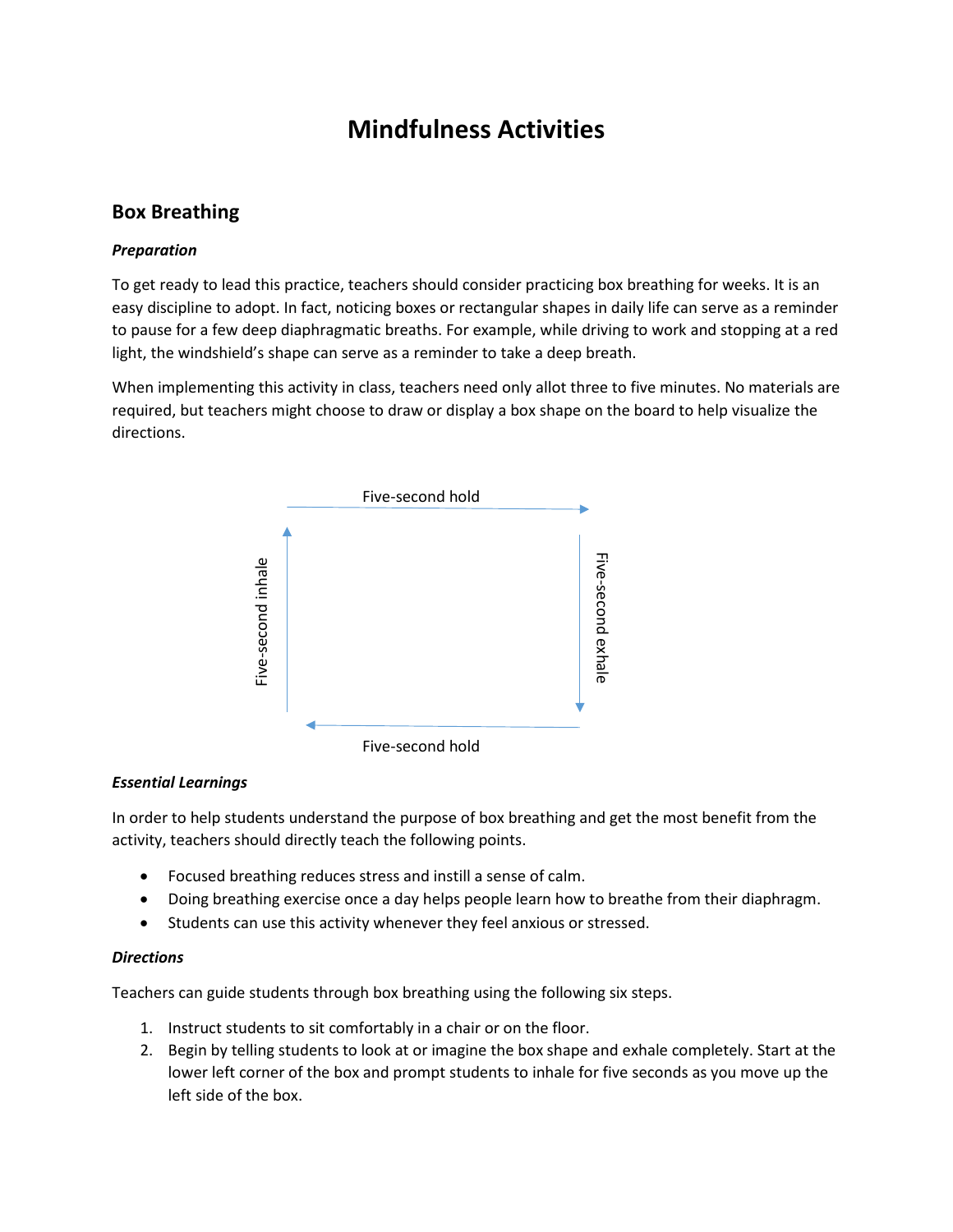# **Mindfulness Activities**

# **Box Breathing**

### *Preparation*

To get ready to lead this practice, teachers should consider practicing box breathing for weeks. It is an easy discipline to adopt. In fact, noticing boxes or rectangular shapes in daily life can serve as a reminder to pause for a few deep diaphragmatic breaths. For example, while driving to work and stopping at a red light, the windshield's shape can serve as a reminder to take a deep breath.

When implementing this activity in class, teachers need only allot three to five minutes. No materials are required, but teachers might choose to draw or display a box shape on the board to help visualize the directions.



### *Essential Learnings*

In order to help students understand the purpose of box breathing and get the most benefit from the activity, teachers should directly teach the following points.

- Focused breathing reduces stress and instill a sense of calm.
- Doing breathing exercise once a day helps people learn how to breathe from their diaphragm.
- Students can use this activity whenever they feel anxious or stressed.

### *Directions*

Teachers can guide students through box breathing using the following six steps.

- 1. Instruct students to sit comfortably in a chair or on the floor.
- 2. Begin by telling students to look at or imagine the box shape and exhale completely. Start at the lower left corner of the box and prompt students to inhale for five seconds as you move up the left side of the box.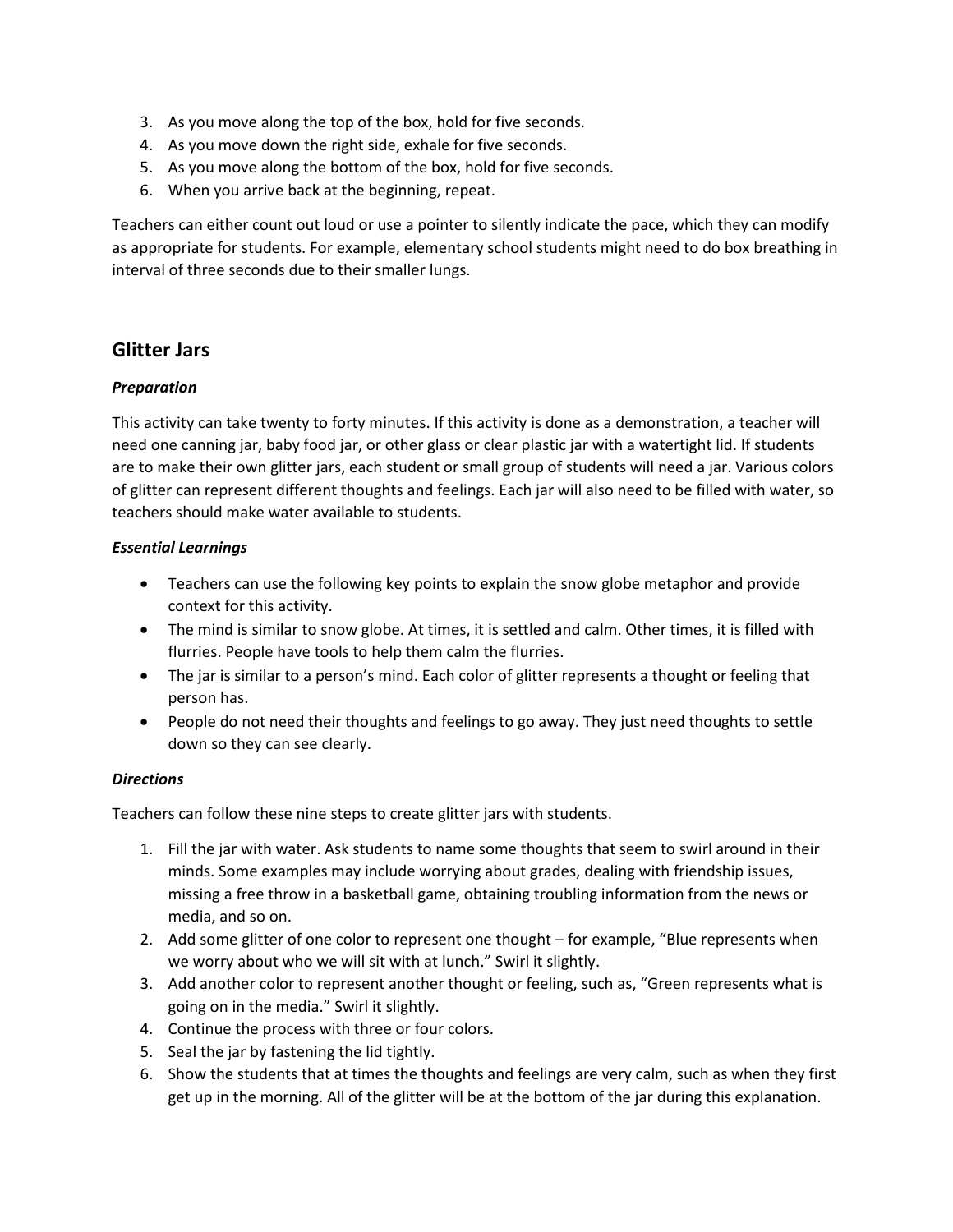- 3. As you move along the top of the box, hold for five seconds.
- 4. As you move down the right side, exhale for five seconds.
- 5. As you move along the bottom of the box, hold for five seconds.
- 6. When you arrive back at the beginning, repeat.

Teachers can either count out loud or use a pointer to silently indicate the pace, which they can modify as appropriate for students. For example, elementary school students might need to do box breathing in interval of three seconds due to their smaller lungs.

# **Glitter Jars**

### *Preparation*

This activity can take twenty to forty minutes. If this activity is done as a demonstration, a teacher will need one canning jar, baby food jar, or other glass or clear plastic jar with a watertight lid. If students are to make their own glitter jars, each student or small group of students will need a jar. Various colors of glitter can represent different thoughts and feelings. Each jar will also need to be filled with water, so teachers should make water available to students.

### *Essential Learnings*

- Teachers can use the following key points to explain the snow globe metaphor and provide context for this activity.
- The mind is similar to snow globe. At times, it is settled and calm. Other times, it is filled with flurries. People have tools to help them calm the flurries.
- The jar is similar to a person's mind. Each color of glitter represents a thought or feeling that person has.
- People do not need their thoughts and feelings to go away. They just need thoughts to settle down so they can see clearly.

### *Directions*

Teachers can follow these nine steps to create glitter jars with students.

- 1. Fill the jar with water. Ask students to name some thoughts that seem to swirl around in their minds. Some examples may include worrying about grades, dealing with friendship issues, missing a free throw in a basketball game, obtaining troubling information from the news or media, and so on.
- 2. Add some glitter of one color to represent one thought for example, "Blue represents when we worry about who we will sit with at lunch." Swirl it slightly.
- 3. Add another color to represent another thought or feeling, such as, "Green represents what is going on in the media." Swirl it slightly.
- 4. Continue the process with three or four colors.
- 5. Seal the jar by fastening the lid tightly.
- 6. Show the students that at times the thoughts and feelings are very calm, such as when they first get up in the morning. All of the glitter will be at the bottom of the jar during this explanation.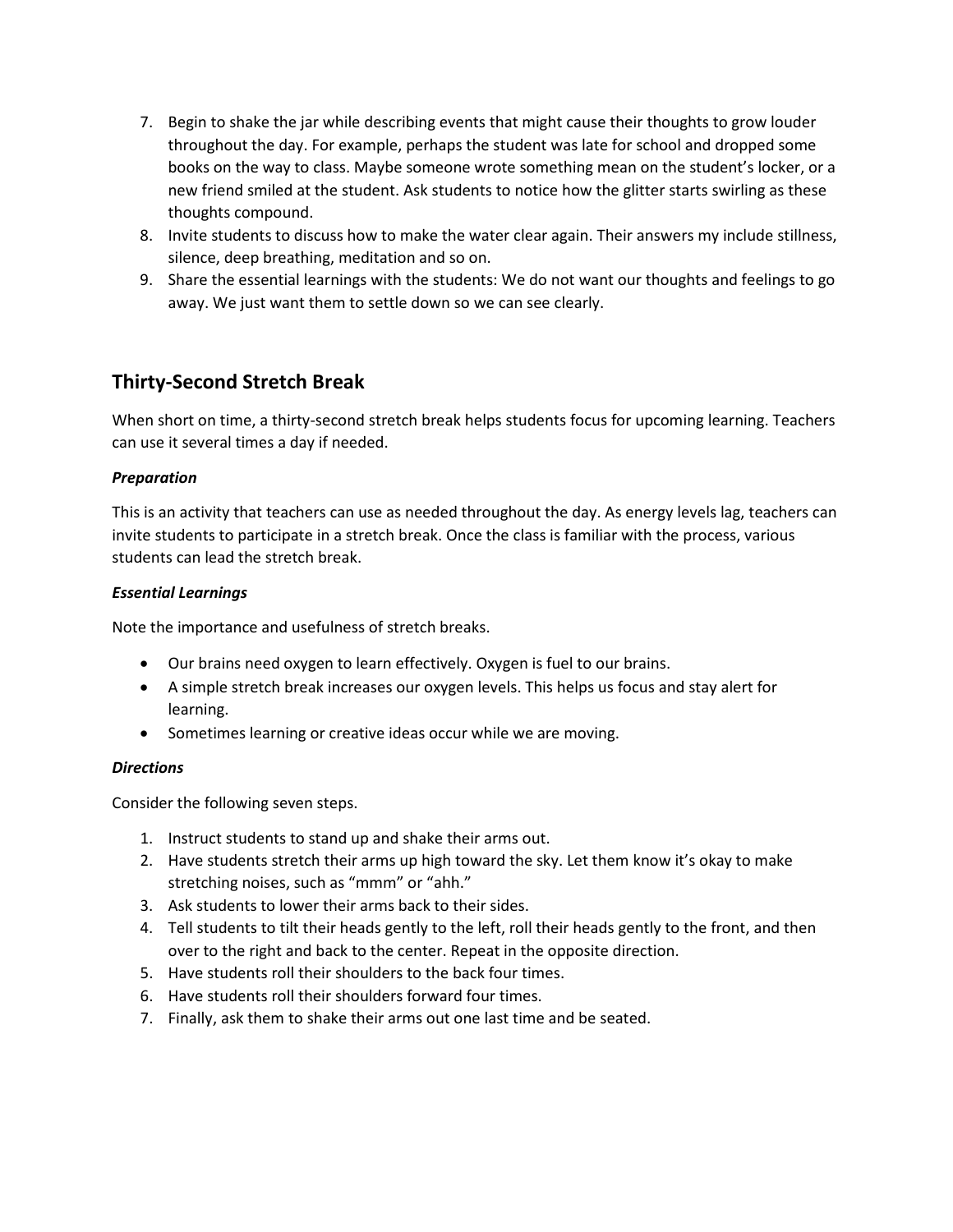- 7. Begin to shake the jar while describing events that might cause their thoughts to grow louder throughout the day. For example, perhaps the student was late for school and dropped some books on the way to class. Maybe someone wrote something mean on the student's locker, or a new friend smiled at the student. Ask students to notice how the glitter starts swirling as these thoughts compound.
- 8. Invite students to discuss how to make the water clear again. Their answers my include stillness, silence, deep breathing, meditation and so on.
- 9. Share the essential learnings with the students: We do not want our thoughts and feelings to go away. We just want them to settle down so we can see clearly.

# **Thirty-Second Stretch Break**

When short on time, a thirty-second stretch break helps students focus for upcoming learning. Teachers can use it several times a day if needed.

### *Preparation*

This is an activity that teachers can use as needed throughout the day. As energy levels lag, teachers can invite students to participate in a stretch break. Once the class is familiar with the process, various students can lead the stretch break.

### *Essential Learnings*

Note the importance and usefulness of stretch breaks.

- Our brains need oxygen to learn effectively. Oxygen is fuel to our brains.
- A simple stretch break increases our oxygen levels. This helps us focus and stay alert for learning.
- Sometimes learning or creative ideas occur while we are moving.

### *Directions*

Consider the following seven steps.

- 1. Instruct students to stand up and shake their arms out.
- 2. Have students stretch their arms up high toward the sky. Let them know it's okay to make stretching noises, such as "mmm" or "ahh."
- 3. Ask students to lower their arms back to their sides.
- 4. Tell students to tilt their heads gently to the left, roll their heads gently to the front, and then over to the right and back to the center. Repeat in the opposite direction.
- 5. Have students roll their shoulders to the back four times.
- 6. Have students roll their shoulders forward four times.
- 7. Finally, ask them to shake their arms out one last time and be seated.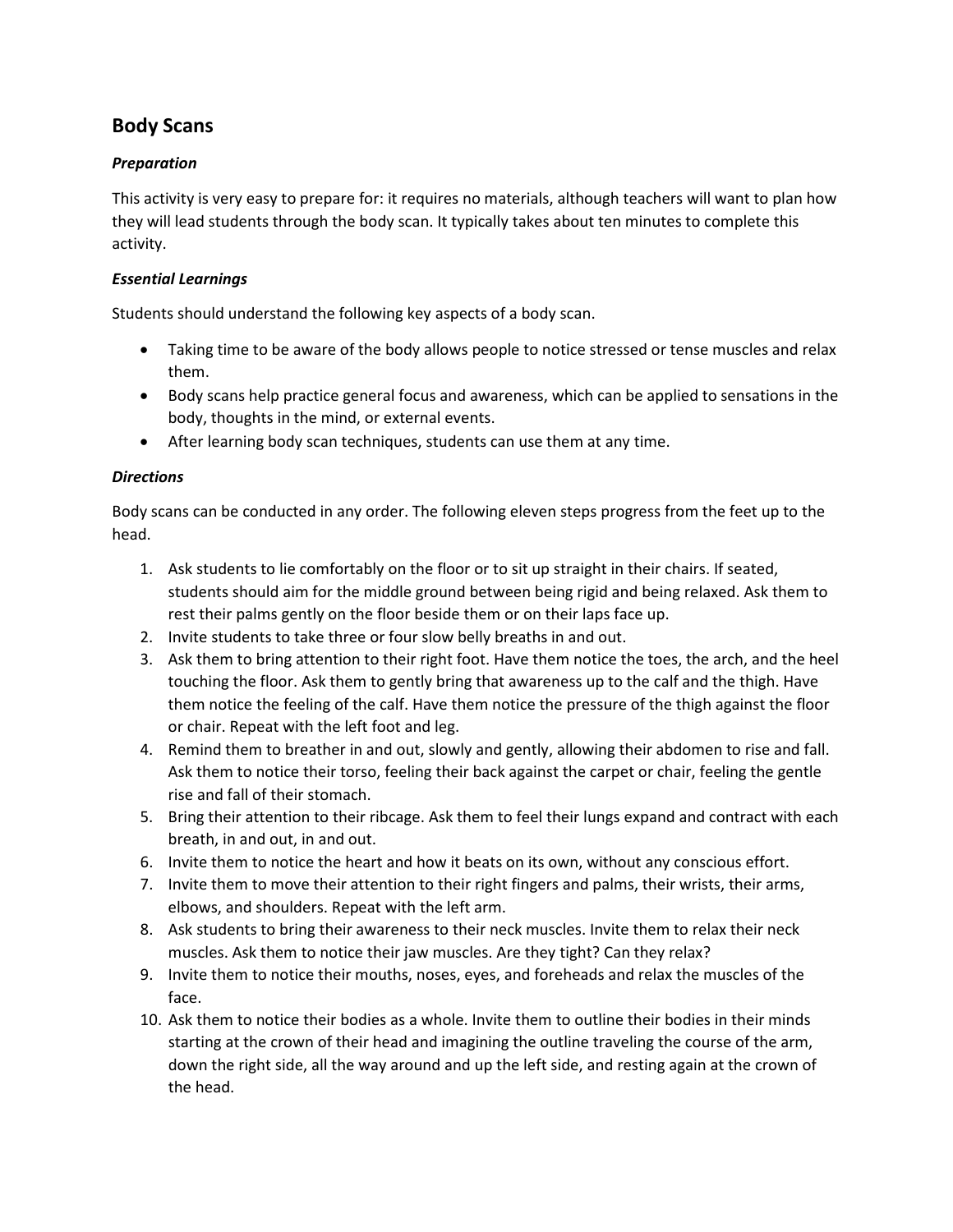# **Body Scans**

### *Preparation*

This activity is very easy to prepare for: it requires no materials, although teachers will want to plan how they will lead students through the body scan. It typically takes about ten minutes to complete this activity.

### *Essential Learnings*

Students should understand the following key aspects of a body scan.

- Taking time to be aware of the body allows people to notice stressed or tense muscles and relax them.
- Body scans help practice general focus and awareness, which can be applied to sensations in the body, thoughts in the mind, or external events.
- After learning body scan techniques, students can use them at any time.

### *Directions*

Body scans can be conducted in any order. The following eleven steps progress from the feet up to the head.

- 1. Ask students to lie comfortably on the floor or to sit up straight in their chairs. If seated, students should aim for the middle ground between being rigid and being relaxed. Ask them to rest their palms gently on the floor beside them or on their laps face up.
- 2. Invite students to take three or four slow belly breaths in and out.
- 3. Ask them to bring attention to their right foot. Have them notice the toes, the arch, and the heel touching the floor. Ask them to gently bring that awareness up to the calf and the thigh. Have them notice the feeling of the calf. Have them notice the pressure of the thigh against the floor or chair. Repeat with the left foot and leg.
- 4. Remind them to breather in and out, slowly and gently, allowing their abdomen to rise and fall. Ask them to notice their torso, feeling their back against the carpet or chair, feeling the gentle rise and fall of their stomach.
- 5. Bring their attention to their ribcage. Ask them to feel their lungs expand and contract with each breath, in and out, in and out.
- 6. Invite them to notice the heart and how it beats on its own, without any conscious effort.
- 7. Invite them to move their attention to their right fingers and palms, their wrists, their arms, elbows, and shoulders. Repeat with the left arm.
- 8. Ask students to bring their awareness to their neck muscles. Invite them to relax their neck muscles. Ask them to notice their jaw muscles. Are they tight? Can they relax?
- 9. Invite them to notice their mouths, noses, eyes, and foreheads and relax the muscles of the face.
- 10. Ask them to notice their bodies as a whole. Invite them to outline their bodies in their minds starting at the crown of their head and imagining the outline traveling the course of the arm, down the right side, all the way around and up the left side, and resting again at the crown of the head.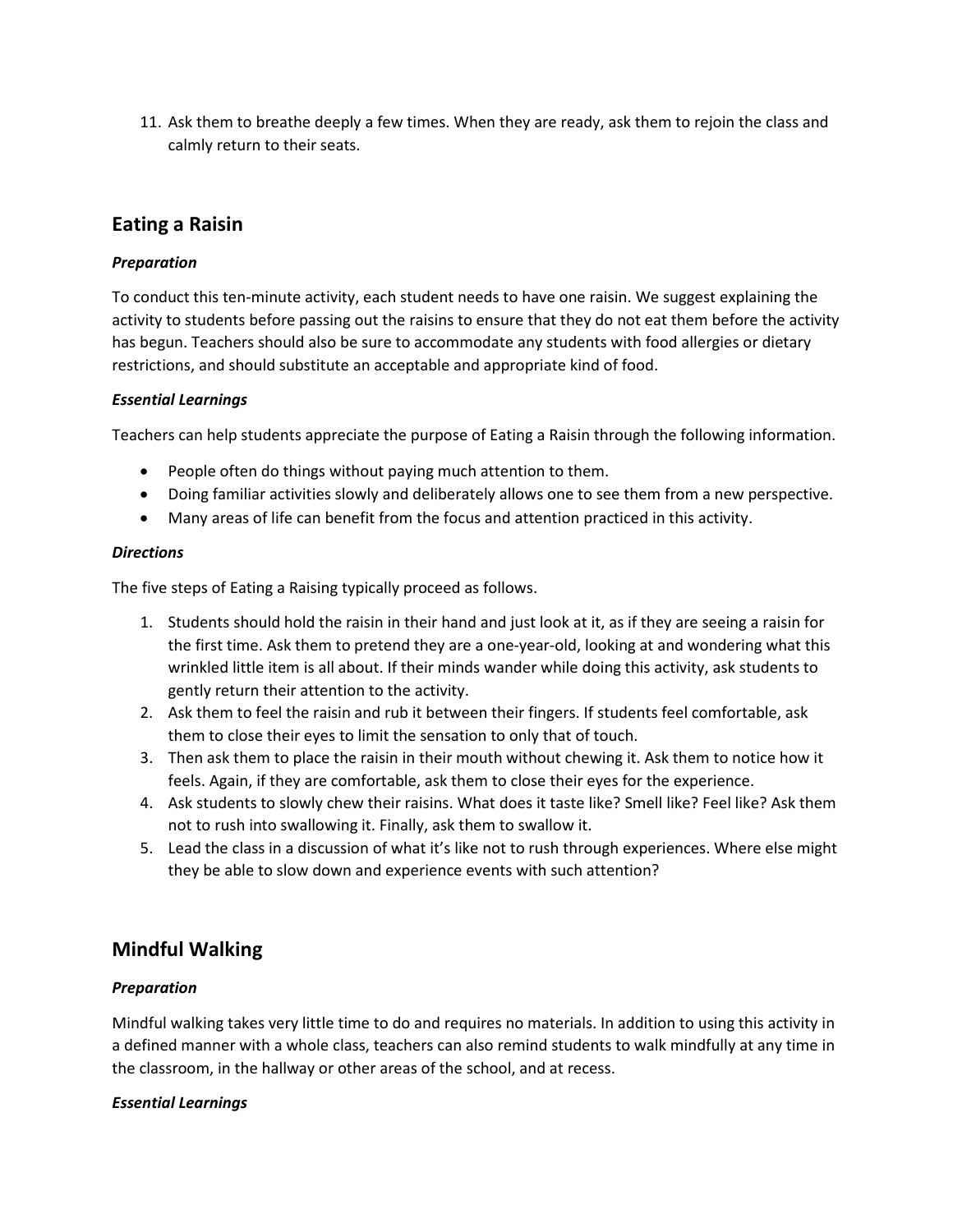11. Ask them to breathe deeply a few times. When they are ready, ask them to rejoin the class and calmly return to their seats.

# **Eating a Raisin**

### *Preparation*

To conduct this ten-minute activity, each student needs to have one raisin. We suggest explaining the activity to students before passing out the raisins to ensure that they do not eat them before the activity has begun. Teachers should also be sure to accommodate any students with food allergies or dietary restrictions, and should substitute an acceptable and appropriate kind of food.

### *Essential Learnings*

Teachers can help students appreciate the purpose of Eating a Raisin through the following information.

- People often do things without paying much attention to them.
- Doing familiar activities slowly and deliberately allows one to see them from a new perspective.
- Many areas of life can benefit from the focus and attention practiced in this activity.

### *Directions*

The five steps of Eating a Raising typically proceed as follows.

- 1. Students should hold the raisin in their hand and just look at it, as if they are seeing a raisin for the first time. Ask them to pretend they are a one-year-old, looking at and wondering what this wrinkled little item is all about. If their minds wander while doing this activity, ask students to gently return their attention to the activity.
- 2. Ask them to feel the raisin and rub it between their fingers. If students feel comfortable, ask them to close their eyes to limit the sensation to only that of touch.
- 3. Then ask them to place the raisin in their mouth without chewing it. Ask them to notice how it feels. Again, if they are comfortable, ask them to close their eyes for the experience.
- 4. Ask students to slowly chew their raisins. What does it taste like? Smell like? Feel like? Ask them not to rush into swallowing it. Finally, ask them to swallow it.
- 5. Lead the class in a discussion of what it's like not to rush through experiences. Where else might they be able to slow down and experience events with such attention?

# **Mindful Walking**

### *Preparation*

Mindful walking takes very little time to do and requires no materials. In addition to using this activity in a defined manner with a whole class, teachers can also remind students to walk mindfully at any time in the classroom, in the hallway or other areas of the school, and at recess.

### *Essential Learnings*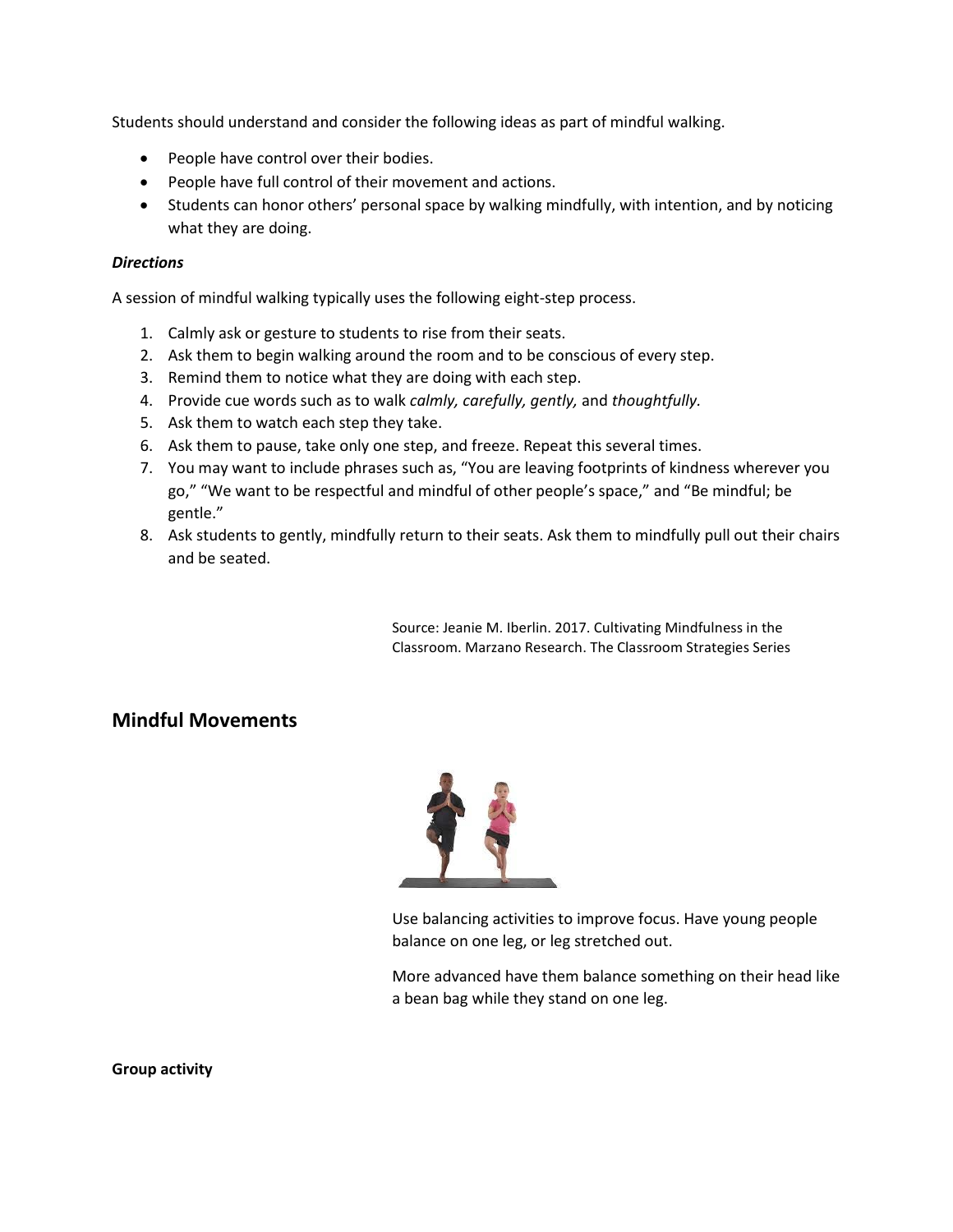Students should understand and consider the following ideas as part of mindful walking.

- People have control over their bodies.
- People have full control of their movement and actions.
- Students can honor others' personal space by walking mindfully, with intention, and by noticing what they are doing.

#### *Directions*

A session of mindful walking typically uses the following eight-step process.

- 1. Calmly ask or gesture to students to rise from their seats.
- 2. Ask them to begin walking around the room and to be conscious of every step.
- 3. Remind them to notice what they are doing with each step.
- 4. Provide cue words such as to walk *calmly, carefully, gently,* and *thoughtfully.*
- 5. Ask them to watch each step they take.
- 6. Ask them to pause, take only one step, and freeze. Repeat this several times.
- 7. You may want to include phrases such as, "You are leaving footprints of kindness wherever you go," "We want to be respectful and mindful of other people's space," and "Be mindful; be gentle."
- 8. Ask students to gently, mindfully return to their seats. Ask them to mindfully pull out their chairs and be seated.

Source: Jeanie M. Iberlin. 2017. Cultivating Mindfulness in the Classroom. Marzano Research. The Classroom Strategies Series

### **Mindful Movements**



Use balancing activities to improve focus. Have young people balance on one leg, or leg stretched out.

More advanced have them balance something on their head like a bean bag while they stand on one leg.